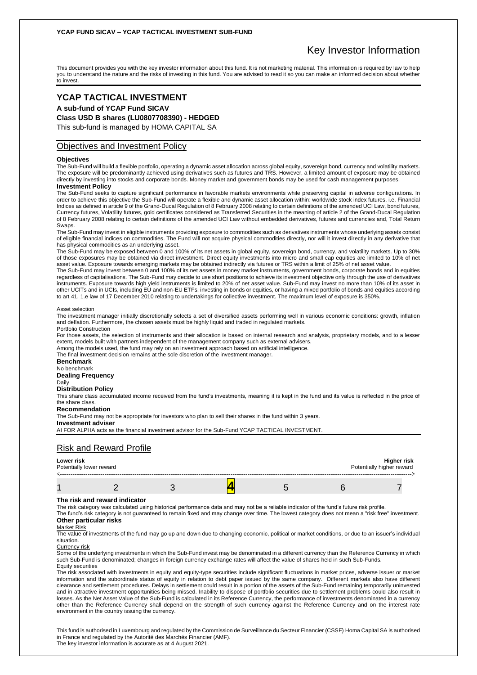## **YCAP FUND SICAV – YCAP TACTICAL INVESTMENT SUB-FUND**

# Key Investor Information

This document provides you with the key investor information about this fund. It is not marketing material. This information is required by law to help you to understand the nature and the risks of investing in this fund. You are advised to read it so you can make an informed decision about whether to invest.

# **YCAP TACTICAL INVESTMENT**

**A sub-fund of YCAP Fund SICAV**

## **Class USD B shares (LU0807708390) - HEDGED**

This sub-fund is managed by HOMA CAPITAL SA

## Objectives and Investment Policy

#### **Objectives**

The Sub-Fund will build a flexible portfolio, operating a dynamic asset allocation across global equity, sovereign bond, currency and volatility markets. The exposure will be predominantly achieved using derivatives such as futures and TRS. However, a limited amount of exposure may be obtained directly by investing into stocks and corporate bonds. Money market and government bonds may be used for cash management purposes.

## **Investment Policy**

The Sub-Fund seeks to capture significant performance in favorable markets environments while preserving capital in adverse configurations. In order to achieve this objective the Sub-Fund will operate a flexible and dynamic asset allocation within: worldwide stock index futures, i.e. Financial Indices as defined in article 9 of the Grand-Ducal Regulation of 8 February 2008 relating to certain definitions of the amended UCI Law, bond futures, Currency futures, Volatility futures, gold certificates considered as Transferred Securities in the meaning of article 2 of the Grand-Ducal Regulation of 8 February 2008 relating to certain definitions of the amended UCI Law without embedded derivatives, futures and currencies and, Total Return Swaps.

The Sub-Fund may invest in eligible instruments providing exposure to commodities such as derivatives instruments whose underlying assets consist of eligible financial indices on commodities. The Fund will not acquire physical commodities directly, nor will it invest directly in any derivative that has physical commodities as an underlying asset.

The Sub-Fund may be exposed between 0 and 100% of its net assets in global equity, sovereign bond, currency, and volatility markets. Up to 30% of those exposures may be obtained via direct investment. Direct equity investments into micro and small cap equities are limited to 10% of net asset value. Exposure towards emerging markets may be obtained indirectly via futures or TRS within a limit of 25% of net asset value.

The Sub-Fund may invest between 0 and 100% of its net assets in money market instruments, government bonds, corporate bonds and in equities regardless of capitalisations. The Sub-Fund may decide to use short positions to achieve its investment objective only through the use of derivatives instruments. Exposure towards high yield instruments is limited to 20% of net asset value. Sub-Fund may invest no more than 10% of its asset in other UCITs and in UCIs, including EU and non-EU ETFs, investing in bonds or equities, or having a mixed portfolio of bonds and equities according to art 41, 1.e law of 17 December 2010 relating to undertakings for collective investment. The maximum level of exposure is 350%.

#### Asset selection

The investment manager initially discretionally selects a set of diversified assets performing well in various economic conditions: growth, inflation and deflation. Furthermore, the chosen assets must be highly liquid and traded in regulated markets. Portfolio Construction

For those assets, the selection of instruments and their allocation is based on internal research and analysis, proprietary models, and to a lesser extent, models built with partners independent of the management company such as external advisers.

Among the models used, the fund may rely on an investment approach based on artificial intelligence. The final investment decision remains at the sole discretion of the investment manager.

#### **Benchmark**

No benchmark

#### **Dealing Frequency** Daily

## **Distribution Policy**

This share class accumulated income received from the fund's investments, meaning it is kept in the fund and its value is reflected in the price of the share class.

#### **Recommendation**

The Sub-Fund may not be appropriate for investors who plan to sell their shares in the fund within 3 years.

#### **Investment adviser**

AI FOR ALPHA acts as the financial investment advisor for the Sub-Fund YCAP TACTICAL INVESTMENT.

## Risk and Reward Profile

| Lower risk<br>Potentially lower reward |  |  | Potentially higher reward | Higher risk |
|----------------------------------------|--|--|---------------------------|-------------|
|                                        |  |  |                           |             |

#### **The risk and reward indicator**

The risk category was calculated using historical performance data and may not be a reliable indicator of the fund's future risk profile.

The fund's risk category is not guaranteed to remain fixed and may change over time. The lowest category does not mean a "risk free" investment. **Other particular risks**

#### Market Risk

The value of investments of the fund may go up and down due to changing economic, political or market conditions, or due to an issuer's individual situation.

#### Currency risk

Some of the underlying investments in which the Sub-Fund invest may be denominated in a different currency than the Reference Currency in which such Sub-Fund is denominated; changes in foreign currency exchange rates will affect the value of shares held in such Sub-Funds. Equity securities

The risk associated with investments in equity and equity-type securities include significant fluctuations in market prices, adverse issuer or market information and the subordinate status of equity in relation to debt paper issued by the same company. Different markets also have different clearance and settlement procedures. Delays in settlement could result in a portion of the assets of the Sub-Fund remaining temporarily uninvested and in attractive investment opportunities being missed. Inability to dispose of portfolio securities due to settlement problems could also result in losses. As the Net Asset Value of the Sub-Fund is calculated in its Reference Currency, the performance of investments denominated in a currency other than the Reference Currency shall depend on the strength of such currency against the Reference Currency and on the interest rate environment in the country issuing the currency.

This fund is authorised in Luxembourg and regulated by the Commission de Surveillance du Secteur Financier (CSSF) Homa Capital SA is authorised in France and regulated by the Autorité des Marchés Financier (AMF). The key investor information is accurate as at 4 August 2021.